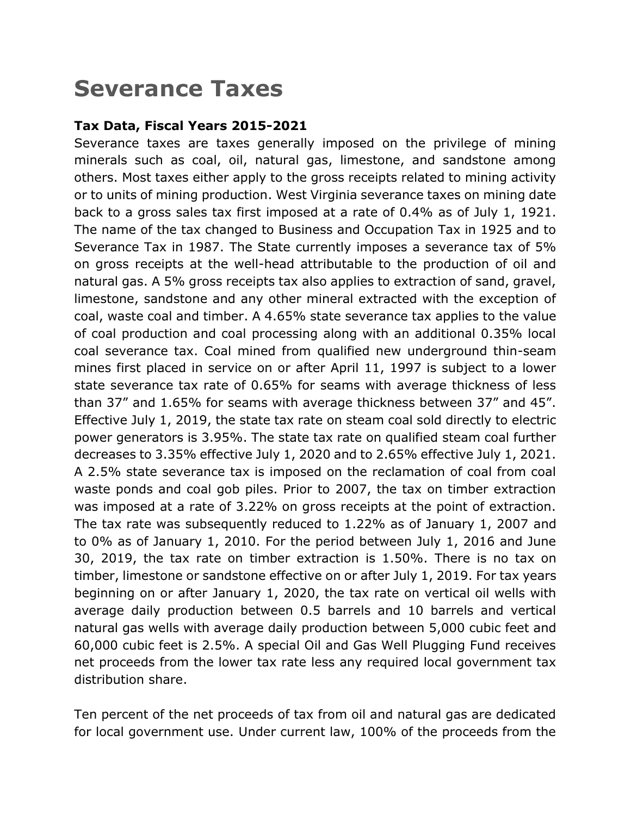# **Severance Taxes**

#### **Tax Data, Fiscal Years 2015-2021**

Severance taxes are taxes generally imposed on the privilege of mining minerals such as coal, oil, natural gas, limestone, and sandstone among others. Most taxes either apply to the gross receipts related to mining activity or to units of mining production. West Virginia severance taxes on mining date back to a gross sales tax first imposed at a rate of 0.4% as of July 1, 1921. The name of the tax changed to Business and Occupation Tax in 1925 and to Severance Tax in 1987. The State currently imposes a severance tax of 5% on gross receipts at the well-head attributable to the production of oil and natural gas. A 5% gross receipts tax also applies to extraction of sand, gravel, limestone, sandstone and any other mineral extracted with the exception of coal, waste coal and timber. A 4.65% state severance tax applies to the value of coal production and coal processing along with an additional 0.35% local coal severance tax. Coal mined from qualified new underground thin-seam mines first placed in service on or after April 11, 1997 is subject to a lower state severance tax rate of 0.65% for seams with average thickness of less than 37" and 1.65% for seams with average thickness between 37" and 45". Effective July 1, 2019, the state tax rate on steam coal sold directly to electric power generators is 3.95%. The state tax rate on qualified steam coal further decreases to 3.35% effective July 1, 2020 and to 2.65% effective July 1, 2021. A 2.5% state severance tax is imposed on the reclamation of coal from coal waste ponds and coal gob piles. Prior to 2007, the tax on timber extraction was imposed at a rate of 3.22% on gross receipts at the point of extraction. The tax rate was subsequently reduced to 1.22% as of January 1, 2007 and to 0% as of January 1, 2010. For the period between July 1, 2016 and June 30, 2019, the tax rate on timber extraction is 1.50%. There is no tax on timber, limestone or sandstone effective on or after July 1, 2019. For tax years beginning on or after January 1, 2020, the tax rate on vertical oil wells with average daily production between 0.5 barrels and 10 barrels and vertical natural gas wells with average daily production between 5,000 cubic feet and 60,000 cubic feet is 2.5%. A special Oil and Gas Well Plugging Fund receives net proceeds from the lower tax rate less any required local government tax distribution share.

Ten percent of the net proceeds of tax from oil and natural gas are dedicated for local government use. Under current law, 100% of the proceeds from the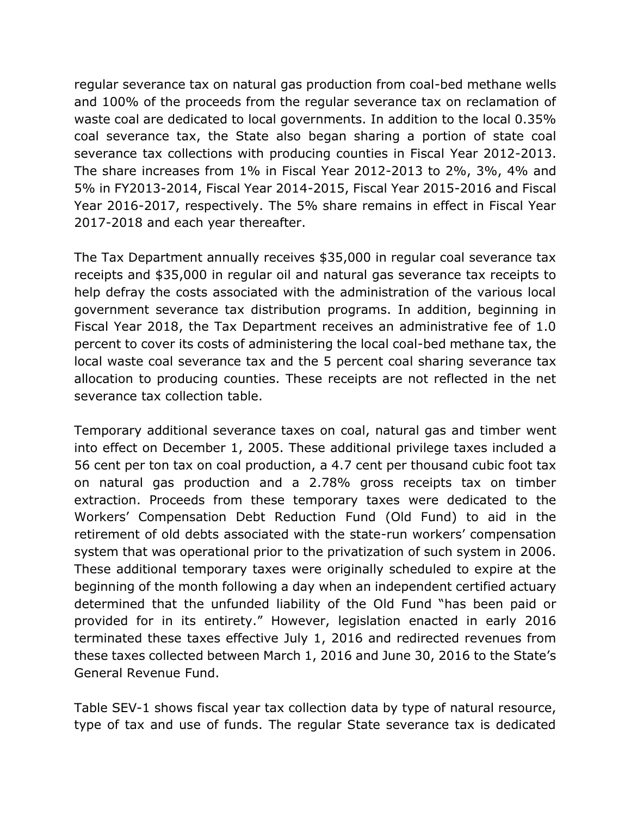regular severance tax on natural gas production from coal-bed methane wells and 100% of the proceeds from the regular severance tax on reclamation of waste coal are dedicated to local governments. In addition to the local 0.35% coal severance tax, the State also began sharing a portion of state coal severance tax collections with producing counties in Fiscal Year 2012-2013. The share increases from 1% in Fiscal Year 2012-2013 to 2%, 3%, 4% and 5% in FY2013-2014, Fiscal Year 2014-2015, Fiscal Year 2015-2016 and Fiscal Year 2016-2017, respectively. The 5% share remains in effect in Fiscal Year 2017-2018 and each year thereafter.

The Tax Department annually receives \$35,000 in regular coal severance tax receipts and \$35,000 in regular oil and natural gas severance tax receipts to help defray the costs associated with the administration of the various local government severance tax distribution programs. In addition, beginning in Fiscal Year 2018, the Tax Department receives an administrative fee of 1.0 percent to cover its costs of administering the local coal-bed methane tax, the local waste coal severance tax and the 5 percent coal sharing severance tax allocation to producing counties. These receipts are not reflected in the net severance tax collection table.

Temporary additional severance taxes on coal, natural gas and timber went into effect on December 1, 2005. These additional privilege taxes included a 56 cent per ton tax on coal production, a 4.7 cent per thousand cubic foot tax on natural gas production and a 2.78% gross receipts tax on timber extraction. Proceeds from these temporary taxes were dedicated to the Workers' Compensation Debt Reduction Fund (Old Fund) to aid in the retirement of old debts associated with the state-run workers' compensation system that was operational prior to the privatization of such system in 2006. These additional temporary taxes were originally scheduled to expire at the beginning of the month following a day when an independent certified actuary determined that the unfunded liability of the Old Fund "has been paid or provided for in its entirety." However, legislation enacted in early 2016 terminated these taxes effective July 1, 2016 and redirected revenues from these taxes collected between March 1, 2016 and June 30, 2016 to the State's General Revenue Fund.

Table SEV-1 shows fiscal year tax collection data by type of natural resource, type of tax and use of funds. The regular State severance tax is dedicated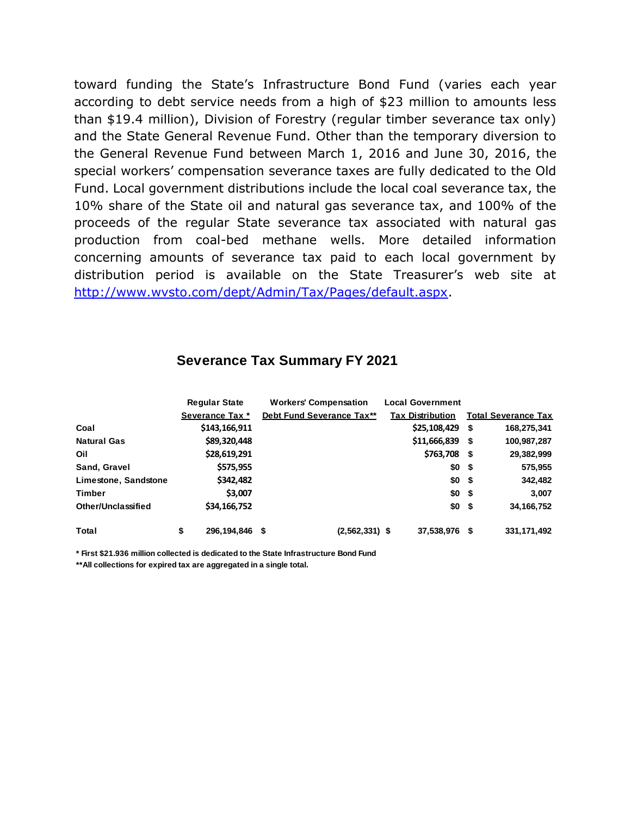toward funding the State's Infrastructure Bond Fund (varies each year according to debt service needs from a high of \$23 million to amounts less than \$19.4 million), Division of Forestry (regular timber severance tax only) and the State General Revenue Fund. Other than the temporary diversion to the General Revenue Fund between March 1, 2016 and June 30, 2016, the special workers' compensation severance taxes are fully dedicated to the Old Fund. Local government distributions include the local coal severance tax, the 10% share of the State oil and natural gas severance tax, and 100% of the proceeds of the regular State severance tax associated with natural gas production from coal-bed methane wells. More detailed information concerning amounts of severance tax paid to each local government by distribution period is available on the State Treasurer's web site at [http://www.wvsto.com/dept/Admin/Tax/Pages/default.aspx.](http://www.wvsto.com/dept/Admin/Tax/Pages/default.aspx)

#### **Severance Tax Summary FY 2021**

|                           | <b>Regular State</b> | <b>Workers' Compensation</b> | <b>Local Government</b> |      |                            |
|---------------------------|----------------------|------------------------------|-------------------------|------|----------------------------|
|                           | Severance Tax *      | Debt Fund Severance Tax**    | <b>Tax Distribution</b> |      | <b>Total Severance Tax</b> |
| Coal                      | \$143,166,911        |                              | \$25,108,429            | - \$ | 168,275,341                |
| <b>Natural Gas</b>        | \$89,320,448         |                              | $$11,666,839$ \$        |      | 100,987,287                |
| Oil                       | \$28,619,291         |                              | \$763,708 \$            |      | 29,382,999                 |
| Sand, Gravel              | \$575,955            |                              | \$0 <sub>5</sub>        |      | 575,955                    |
| Limestone, Sandstone      | \$342,482            |                              | $$0 \quad $$            |      | 342,482                    |
| <b>Timber</b>             | \$3,007              |                              | \$0 <sub>5</sub>        |      | 3,007                      |
| <b>Other/Unclassified</b> | \$34,166,752         |                              | $$0 \quad $$            |      | 34, 166, 752               |
| Total                     | \$<br>296.194.846    | $(2,562,331)$ \$<br>\$       | 37,538,976 \$           |      | 331, 171, 492              |

**\* First \$21.936 million collected is dedicated to the State Infrastructure Bond Fund**

**\*\*All collections for expired tax are aggregated in a single total.**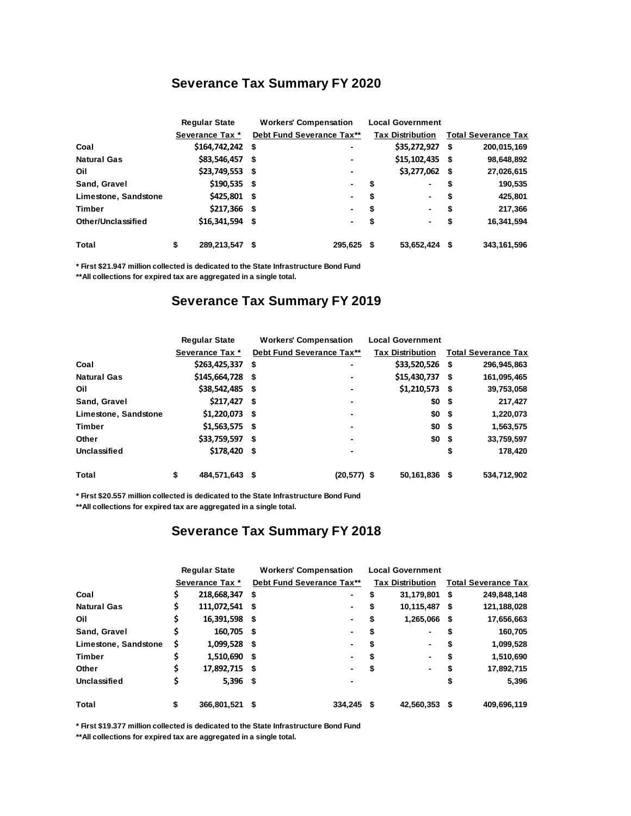#### **Severance Tax Summary FY 2020**

|                      | <b>Regular State</b> | <b>Workers' Compensation</b> | <b>Local Government</b> |                            |
|----------------------|----------------------|------------------------------|-------------------------|----------------------------|
|                      | Severance Tax *      | Debt Fund Severance Tax**    | <b>Tax Distribution</b> | <b>Total Severance Tax</b> |
| Coal                 | \$164,742,242        | S<br>$\blacksquare$          | \$35,272,927            | 200,015,169<br>- \$        |
| <b>Natural Gas</b>   | \$83,546,457         | -S<br>$\blacksquare$         | $$15,102,435$ \$        | 98,648,892                 |
| Oil                  | \$23,749,553         | -\$<br>$\blacksquare$        | \$3,277,062             | 27,026,615<br>- \$         |
| Sand, Gravel         | $$190,535$ \$        | $\blacksquare$               | \$<br>۰.                | 190,535<br>\$              |
| Limestone, Sandstone | \$425,801            | -\$<br>$\blacksquare$        | \$                      | 425,801<br>\$              |
| Timber               | $$217,366$ \$        | $\blacksquare$               | \$                      | 217,366<br>\$              |
| Other/Unclassified   | \$16,341,594         | - \$<br>$\blacksquare$       | \$<br>$\blacksquare$    | 16,341,594<br>\$           |
| Total                | \$<br>289,213,547    | 295.625 \$<br>S              | 53,652,424              | 343,161,596                |

**\* First \$21.947 million collected is dedicated to the State Infrastructure Bond Fund**

**\*\*All collections for expired tax are aggregated in a single total.**

#### **Severance Tax Summary FY 2019**

|                      | <b>Regular State</b> | <b>Workers' Compensation</b> | <b>Local Government</b> |                         |                            |             |
|----------------------|----------------------|------------------------------|-------------------------|-------------------------|----------------------------|-------------|
|                      | Severance Tax *      | Debt Fund Severance Tax**    |                         | <b>Tax Distribution</b> | <b>Total Severance Tax</b> |             |
| Coal                 | \$263,425,337        | \$                           | $\blacksquare$          | \$33,520,526            | -\$                        | 296,945,863 |
| <b>Natural Gas</b>   | \$145,664,728 \$     |                              | $\blacksquare$          | \$15,430,737            | - 5                        | 161,095,465 |
| Oil                  | \$38,542,485 \$      |                              | $\blacksquare$          | \$1,210,573             | - \$                       | 39,753,058  |
| Sand, Gravel         | $$217,427$ \$        |                              | $\blacksquare$          | \$0                     | - \$                       | 217,427     |
| Limestone, Sandstone | $$1,220,073$ \$      |                              | $\blacksquare$          | \$0                     | - \$                       | 1,220,073   |
| <b>Timber</b>        | $$1,563,575$ \$      |                              | $\blacksquare$          | \$0                     | - \$                       | 1,563,575   |
| Other                | \$33,759,597 \$      |                              | $\blacksquare$          | \$0                     | -\$                        | 33,759,597  |
| Unclassified         | \$178,420 \$         |                              |                         |                         | \$                         | 178.420     |
| Total                | \$<br>484,571,643    | S                            | $(20, 577)$ \$          | 50,161,836              | - 5                        | 534,712,902 |

**\* First \$20.557 million collected is dedicated to the State Infrastructure Bond Fund**

**\*\*All collections for expired tax are aggregated in a single total.**

#### **Severance Tax Summary FY 2018**

|                      | <b>Regular State</b> |                 |      | <b>Workers' Compensation</b> |    | <b>Local Government</b> |      |                            |  |
|----------------------|----------------------|-----------------|------|------------------------------|----|-------------------------|------|----------------------------|--|
|                      |                      | Severance Tax * |      | Debt Fund Severance Tax**    |    | <b>Tax Distribution</b> |      | <b>Total Severance Tax</b> |  |
| Coal                 | \$                   | 218,668,347     | S    | -                            | S  | 31,179,801              | - \$ | 249,848,148                |  |
| <b>Natural Gas</b>   | \$                   | 111,072,541     | - \$ | ٠                            | S  | 10,115,487              | - \$ | 121,188,028                |  |
| Oil                  | \$                   | 16,391,598 \$   |      | $\blacksquare$               | S  | 1,265,066               | - \$ | 17,656,663                 |  |
| Sand, Gravel         | \$                   | 160,705 \$      |      | $\blacksquare$               | \$ | $\blacksquare$          | S    | 160,705                    |  |
| Limestone, Sandstone | s                    | 1,099,528 \$    |      | $\blacksquare$               | S  | $\blacksquare$          | \$   | 1,099,528                  |  |
| Timber               | \$                   | 1,510,690       | -S   | $\blacksquare$               | S  | $\blacksquare$          | S    | 1,510,690                  |  |
| Other                | \$                   | 17,892,715      | -S   | $\blacksquare$               | \$ | $\blacksquare$          | S    | 17,892,715                 |  |
| Unclassified         | \$                   | $5,396$ \$      |      | $\blacksquare$               |    |                         | \$   | 5,396                      |  |
| Total                | \$                   | 366,801,521     | S    | 334.245                      |    | 42,560,353              | - \$ | 409,696,119                |  |

**\* First \$19.377 million collected is dedicated to the State Infrastructure Bond Fund**

**\*\*All collections for expired tax are aggregated in a single total.**